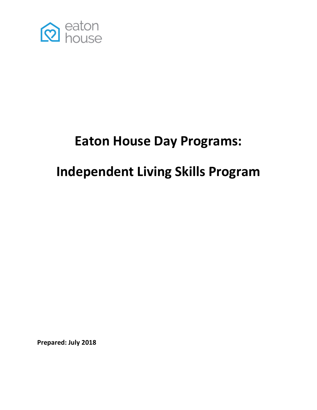

## **Eaton House Day Programs:**

# **Independent Living Skills Program**

**Prepared: July 2018**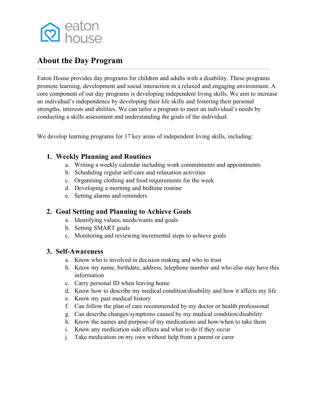

#### **About the Day Program**

Eaton House provides day programs for children and adults with a disability. These programs promote learning, development and social interaction in a relaxed and engaging environment. A core component of our day programs is developing independent living skills. We aim to increase an individual's independence by developing their life skills and fostering their personal strengths, interests and abilities. We can tailor a program to meet an individual's needs by conducting a skills assessment and understanding the goals of the individual.

We develop learning programs for 17 key areas of independent living skills, including:

#### **1. Weekly Planning and Routines**

- a. Writing a weekly calendar including work commitments and appointments
- b. Scheduling regular self-care and relaxation activities
- c. Organising clothing and food requirements for the week
- d. Developing a morning and bedtime routine
- e. Setting alarms and reminders

#### **2. Goal Setting and Planning to Achieve Goals**

- a. Identifying values, needs/wants and goals
- b. Setting SMART goals
- c. Monitoring and reviewing incremental steps to achieve goals

#### **3. Self-Awareness**

- a. Know who is involved in decision making and who to trust
- b. Know my name, birthdate, address, telephone number and who else may have this information
- c. Carry personal ID when leaving home
- d. Know how to describe my medical condition/disability and how it affects my life
- e. Know my past medical history
- f. Can follow the plan of care recommended by my doctor or health professional
- g. Can describe changes/symptoms caused by my medical condition/disability
- h. Know the names and purpose of my medications and how/when to take them
- i. Know any medication side effects and what to do if they occur
- j. Take medication on my own without help from a parent or carer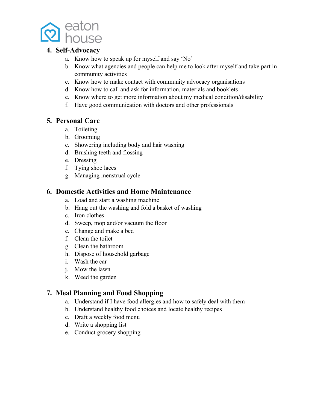

#### **4. Self-Advocacy**

- a. Know how to speak up for myself and say 'No'
- b. Know what agencies and people can help me to look after myself and take part in community activities
- c. Know how to make contact with community advocacy organisations
- d. Know how to call and ask for information, materials and booklets
- e. Know where to get more information about my medical condition/disability
- f. Have good communication with doctors and other professionals

#### **5. Personal Care**

- a. Toileting
- b. Grooming
- c. Showering including body and hair washing
- d. Brushing teeth and flossing
- e. Dressing
- f. Tying shoe laces
- g. Managing menstrual cycle

#### **6. Domestic Activities and Home Maintenance**

- a. Load and start a washing machine
- b. Hang out the washing and fold a basket of washing
- c. Iron clothes
- d. Sweep, mop and/or vacuum the floor
- e. Change and make a bed
- f. Clean the toilet
- g. Clean the bathroom
- h. Dispose of household garbage
- i. Wash the car
- j. Mow the lawn
- k. Weed the garden

#### **7. Meal Planning and Food Shopping**

- a. Understand if I have food allergies and how to safely deal with them
- b. Understand healthy food choices and locate healthy recipes
- c. Draft a weekly food menu
- d. Write a shopping list
- e. Conduct grocery shopping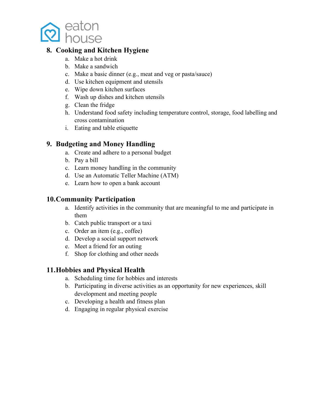

#### **8. Cooking and Kitchen Hygiene**

- a. Make a hot drink
- b. Make a sandwich
- c. Make a basic dinner (e.g., meat and veg or pasta/sauce)
- d. Use kitchen equipment and utensils
- e. Wipe down kitchen surfaces
- f. Wash up dishes and kitchen utensils
- g. Clean the fridge
- h. Understand food safety including temperature control, storage, food labelling and cross contamination
- i. Eating and table etiquette

#### **9. Budgeting and Money Handling**

- a. Create and adhere to a personal budget
- b. Pay a bill
- c. Learn money handling in the community
- d. Use an Automatic Teller Machine (ATM)
- e. Learn how to open a bank account

#### **10.Community Participation**

- a. Identify activities in the community that are meaningful to me and participate in them
- b. Catch public transport or a taxi
- c. Order an item (e.g., coffee)
- d. Develop a social support network
- e. Meet a friend for an outing
- f. Shop for clothing and other needs

#### **11.Hobbies and Physical Health**

- a. Scheduling time for hobbies and interests
- b. Participating in diverse activities as an opportunity for new experiences, skill development and meeting people
- c. Developing a health and fitness plan
- d. Engaging in regular physical exercise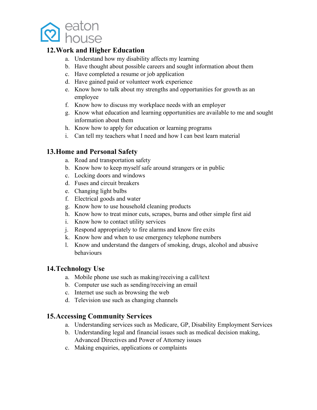

#### **12.Work and Higher Education**

- a. Understand how my disability affects my learning
- b. Have thought about possible careers and sought information about them
- c. Have completed a resume or job application
- d. Have gained paid or volunteer work experience
- e. Know how to talk about my strengths and opportunities for growth as an employee
- f. Know how to discuss my workplace needs with an employer
- g. Know what education and learning opportunities are available to me and sought information about them
- h. Know how to apply for education or learning programs
- i. Can tell my teachers what I need and how I can best learn material

#### **13.Home and Personal Safety**

- a. Road and transportation safety
- b. Know how to keep myself safe around strangers or in public
- c. Locking doors and windows
- d. Fuses and circuit breakers
- e. Changing light bulbs
- f. Electrical goods and water
- g. Know how to use household cleaning products
- h. Know how to treat minor cuts, scrapes, burns and other simple first aid
- i. Know how to contact utility services
- j. Respond appropriately to fire alarms and know fire exits
- k. Know how and when to use emergency telephone numbers
- l. Know and understand the dangers of smoking, drugs, alcohol and abusive behaviours

#### **14.Technology Use**

- a. Mobile phone use such as making/receiving a call/text
- b. Computer use such as sending/receiving an email
- c. Internet use such as browsing the web
- d. Television use such as changing channels

#### **15.Accessing Community Services**

- a. Understanding services such as Medicare, GP, Disability Employment Services
- b. Understanding legal and financial issues such as medical decision making, Advanced Directives and Power of Attorney issues
- c. Making enquiries, applications or complaints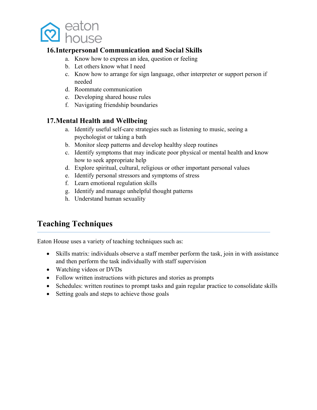

#### **16.Interpersonal Communication and Social Skills**

- a. Know how to express an idea, question or feeling
- b. Let others know what I need
- c. Know how to arrange for sign language, other interpreter or support person if needed
- d. Roommate communication
- e. Developing shared house rules
- f. Navigating friendship boundaries

#### **17.Mental Health and Wellbeing**

- a. Identify useful self-care strategies such as listening to music, seeing a psychologist or taking a bath
- b. Monitor sleep patterns and develop healthy sleep routines
- c. Identify symptoms that may indicate poor physical or mental health and know how to seek appropriate help
- d. Explore spiritual, cultural, religious or other important personal values
- e. Identify personal stressors and symptoms of stress
- f. Learn emotional regulation skills
- g. Identify and manage unhelpful thought patterns
- h. Understand human sexuality

#### **Teaching Techniques**

Eaton House uses a variety of teaching techniques such as:

- Skills matrix: individuals observe a staff member perform the task, join in with assistance and then perform the task individually with staff supervision
- Watching videos or DVDs
- Follow written instructions with pictures and stories as prompts
- Schedules: written routines to prompt tasks and gain regular practice to consolidate skills
- Setting goals and steps to achieve those goals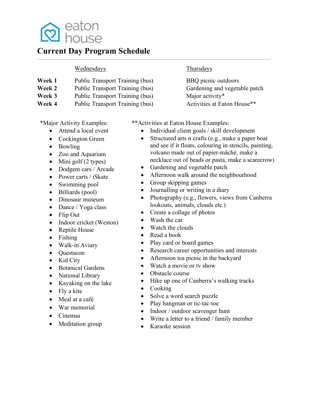

#### **Current Day Program Schedule**

#### Wednesdays Thursdays

- **Week 1** Public Transport Training (bus) BBQ picnic outdoors
- **Week 2** Public Transport Training (bus) Gardening and vegetable patch
- **Week 3** Public Transport Training (bus) Major activity\*
- **Week 4** Public Transport Training (bus) Activities at Eaton House<sup>\*\*</sup>

\*Major Activity Examples:

- Attend a local event
- Cockington Green
- Bowling
- Zoo and Aquarium
- Mini golf  $(2 \text{ types})$
- Dodgem cars / Arcade
- Power carts / iSkate
- Swimming pool
- Billiards (pool)
- Dinosaur museum
- Dance / Yoga class
- Flip Out
- Indoor cricket (Weston)
- Reptile House
- Fishing
- Walk-in Aviary
- Questacon
- Kid City
- Botanical Gardens
- National Library
- Kayaking on the lake
- Fly a kite
- Meal at a café
- War memorial
- Cinemas
- Meditation group

\*\*Activities at Eaton House Examples:

- Individual client goals / skill development
- Structured arts n crafts (e.g., make a paper boat and see if it floats, colouring in stencils, painting, volcano made out of papier-mâché, make a necklace out of beads or pasta, make a scarecrow)
- Gardening and vegetable patch
- Afternoon walk around the neighbourhood
- Group skipping games
- Journalling or writing in a diary
- Photography (e.g., flowers, views from Canberra lookouts, animals, clouds etc.)
- Create a collage of photos
- Wash the car
- Watch the clouds
- Read a book
- Play card or board games
- Research career opportunities and interests
- Afternoon tea picnic in the backyard
- Watch a movie or ty show
- Obstacle course
- Hike up one of Canberra's walking tracks
- Cooking
- Solve a word search puzzle
- Play hangman or tic-tac-toe
- Indoor / outdoor scavenger hunt
- Write a letter to a friend / family member
- Karaoke session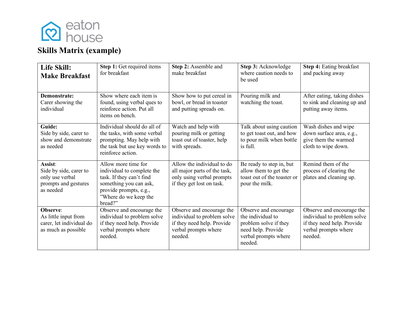

## **Skills Matrix (example)**

| Life Skill:<br><b>Make Breakfast</b>                                                      | Step 1: Get required items<br>for breakfast                                                                                                                           | Step 2: Assemble and<br>make breakfast                                                                                       | Step 3: Acknowledge<br>where caution needs to<br>be used                                                                     | Step 4: Eating breakfast<br>and packing away                                                                             |
|-------------------------------------------------------------------------------------------|-----------------------------------------------------------------------------------------------------------------------------------------------------------------------|------------------------------------------------------------------------------------------------------------------------------|------------------------------------------------------------------------------------------------------------------------------|--------------------------------------------------------------------------------------------------------------------------|
| <b>Demonstrate:</b><br>Carer showing the<br>individual                                    | Show where each item is<br>found, using verbal ques to<br>reinforce action. Put all<br>items on bench.                                                                | Pouring milk and<br>Show how to put cereal in<br>bowl, or bread in toaster<br>watching the toast.<br>and putting spreads on. |                                                                                                                              | After eating, taking dishes<br>to sink and cleaning up and<br>putting away items.                                        |
| Guide:<br>Side by side, carer to<br>show and demonstrate<br>as needed                     | Individual should do all of<br>the tasks, with some verbal<br>prompting. May help with<br>the task but use key words to<br>reinforce action.                          | Watch and help with<br>pouring milk or getting<br>toast out of toaster, help<br>with spreads.                                | Talk about using caution<br>to get toast out, and how<br>to pour milk when bottle<br>is full.                                | Wash dishes and wipe<br>down surface area, e.g.,<br>give them the warmed<br>cloth to wipe down.                          |
| Assist:<br>Side by side, carer to<br>only use verbal<br>prompts and gestures<br>as needed | Allow more time for<br>individual to complete the<br>task. If they can't find<br>something you can ask,<br>provide prompts, e.g.,<br>"Where do we keep the<br>bread?" | Allow the individual to do<br>all major parts of the task,<br>only using verbal prompts<br>if they get lost on task.         | Be ready to step in, but<br>allow them to get the<br>toast out of the toaster or<br>pour the milk.                           | Remind them of the<br>process of clearing the<br>plates and cleaning up.                                                 |
| Observe:<br>As little input from<br>carer, let individual do<br>as much as possible       | Observe and encourage the<br>individual to problem solve<br>if they need help. Provide<br>verbal prompts where<br>needed.                                             | Observe and encourage the<br>individual to problem solve<br>if they need help. Provide<br>verbal prompts where<br>needed.    | Observe and encourage<br>the individual to<br>problem solve if they<br>need help. Provide<br>verbal prompts where<br>needed. | Observe and encourage the<br>individual to problem solve<br>if they need help. Provide<br>verbal prompts where<br>needed |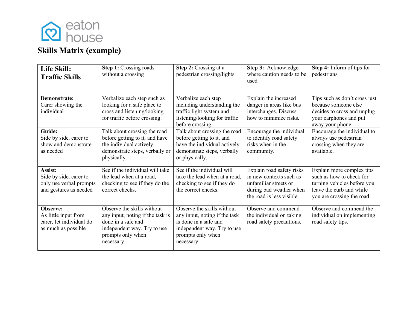

## **Skills Matrix (example)**

| Life Skill:<br><b>Traffic Skills</b>                                                   | Step 1: Crossing roads<br>without a crossing                                                                                                           | Step 2: Crossing at a<br>pedestrian crossing/lights                                                                                                    | Step 3: Acknowledge<br>where caution needs to be<br>used                                                                              | Step 4: Inform of tips for<br>pedestrians                                                                                                      |
|----------------------------------------------------------------------------------------|--------------------------------------------------------------------------------------------------------------------------------------------------------|--------------------------------------------------------------------------------------------------------------------------------------------------------|---------------------------------------------------------------------------------------------------------------------------------------|------------------------------------------------------------------------------------------------------------------------------------------------|
| Demonstrate:<br>Carer showing the<br>individual                                        | Verbalize each step such as<br>looking for a safe place to<br>cross and listening/looking<br>for traffic before crossing.                              | Verbalize each step<br>including understanding the<br>traffic light system and<br>listening/looking for traffic<br>before crossing.                    | Explain the increased<br>danger in areas like bus<br>interchanges. Discuss<br>how to minimize risks.                                  | Tips such as don't cross just<br>because someone else<br>decides to cross and unplug<br>your earphones and put<br>away your phone.             |
| Guide:<br>Side by side, carer to<br>show and demonstrate<br>as needed                  | Talk about crossing the road<br>before getting to it, and have<br>the individual actively<br>demonstrate steps, verbally or<br>physically.             | Talk about crossing the road<br>before getting to it, and<br>have the individual actively<br>demonstrate steps, verbally<br>or physically.             | Encourage the individual<br>to identify road safety<br>risks when in the<br>community.                                                | Encourage the individual to<br>always use pedestrian<br>crossing when they are<br>available.                                                   |
| Assist:<br>Side by side, carer to<br>only use verbal prompts<br>and gestures as needed | See if the individual will take<br>the lead when at a road,<br>checking to see if they do the<br>correct checks.                                       | See if the individual will<br>take the lead when at a road,<br>checking to see if they do<br>the correct checks.                                       | Explain road safety risks<br>in new contexts such as<br>unfamiliar streets or<br>during bad weather when<br>the road is less visible. | Explain more complex tips<br>such as how to check for<br>turning vehicles before you<br>leave the curb and while<br>you are crossing the road. |
| Observe:<br>As little input from<br>carer, let individual do<br>as much as possible    | Observe the skills without<br>any input, noting if the task is<br>done in a safe and<br>independent way. Try to use<br>prompts only when<br>necessary. | Observe the skills without<br>any input, noting if the task<br>is done in a safe and<br>independent way. Try to use<br>prompts only when<br>necessary. | Observe and commend<br>the individual on taking<br>road safety precautions.                                                           | Observe and commend the<br>individual on implementing<br>road safety tips.                                                                     |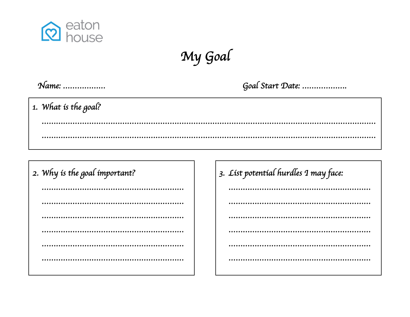

My Goal

Goal Start Date: ...................

1. What is the goal?

| 2. Why is the goal important? |  |  |  |
|-------------------------------|--|--|--|
|                               |  |  |  |
|                               |  |  |  |
|                               |  |  |  |
|                               |  |  |  |
|                               |  |  |  |
|                               |  |  |  |
|                               |  |  |  |

3. List potential hurdles 1 may face: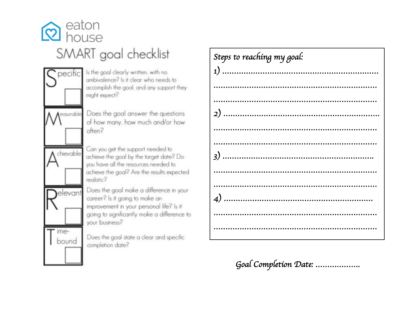



pecific Is the goal clearly written, with no ambivalence? Is it clear who needs to accomplish the goal, and any support they might expect?

Aeasurable Does the goal answer the questions of how many, how much and/or how often?

> Can you get the support needed to achieve the goal by the target date? Do you have all the resources needed to achieve the goal? Are the results expected realistic?

Does the goal make a difference in your career? Is it going to make an improvement in your personal life? Is it going to significantly make a difference to your business?

Does the goal state a clear and specific completion date?

| Steps to reaching my goal: |
|----------------------------|
|                            |
|                            |
| <br>                       |
|                            |
|                            |
|                            |
|                            |
| .                          |
|                            |
|                            |
|                            |
|                            |

Goal Completion Date: ...................